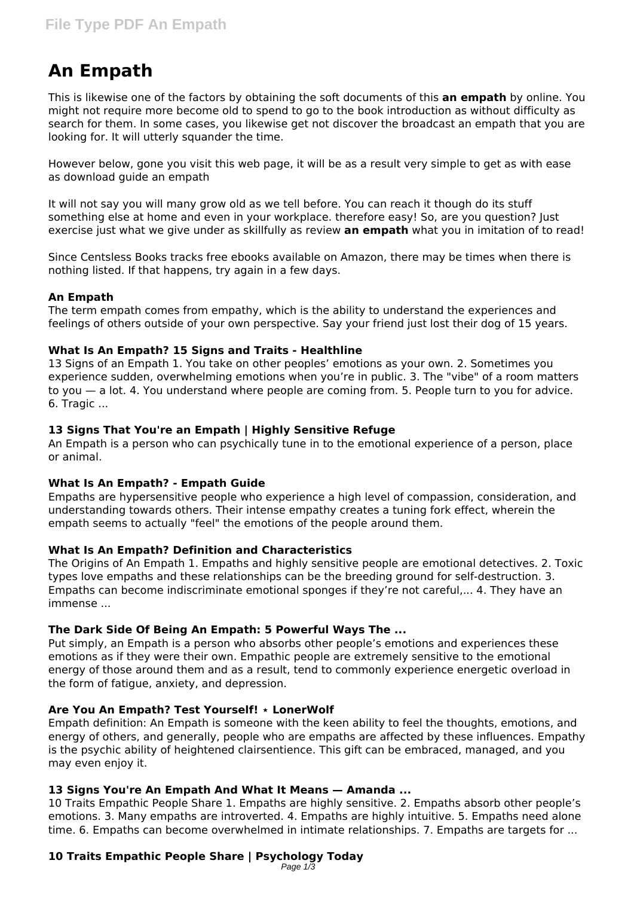# **An Empath**

This is likewise one of the factors by obtaining the soft documents of this **an empath** by online. You might not require more become old to spend to go to the book introduction as without difficulty as search for them. In some cases, you likewise get not discover the broadcast an empath that you are looking for. It will utterly squander the time.

However below, gone you visit this web page, it will be as a result very simple to get as with ease as download guide an empath

It will not say you will many grow old as we tell before. You can reach it though do its stuff something else at home and even in your workplace. therefore easy! So, are you question? Just exercise just what we give under as skillfully as review **an empath** what you in imitation of to read!

Since Centsless Books tracks free ebooks available on Amazon, there may be times when there is nothing listed. If that happens, try again in a few days.

# **An Empath**

The term empath comes from empathy, which is the ability to understand the experiences and feelings of others outside of your own perspective. Say your friend just lost their dog of 15 years.

# **What Is An Empath? 15 Signs and Traits - Healthline**

13 Signs of an Empath 1. You take on other peoples' emotions as your own. 2. Sometimes you experience sudden, overwhelming emotions when you're in public. 3. The "vibe" of a room matters to you — a lot. 4. You understand where people are coming from. 5. People turn to you for advice. 6. Tragic ...

# **13 Signs That You're an Empath | Highly Sensitive Refuge**

An Empath is a person who can psychically tune in to the emotional experience of a person, place or animal.

# **What Is An Empath? - Empath Guide**

Empaths are hypersensitive people who experience a high level of compassion, consideration, and understanding towards others. Their intense empathy creates a tuning fork effect, wherein the empath seems to actually "feel" the emotions of the people around them.

# **What Is An Empath? Definition and Characteristics**

The Origins of An Empath 1. Empaths and highly sensitive people are emotional detectives. 2. Toxic types love empaths and these relationships can be the breeding ground for self-destruction. 3. Empaths can become indiscriminate emotional sponges if they're not careful,... 4. They have an immense ...

# **The Dark Side Of Being An Empath: 5 Powerful Ways The ...**

Put simply, an Empath is a person who absorbs other people's emotions and experiences these emotions as if they were their own. Empathic people are extremely sensitive to the emotional energy of those around them and as a result, tend to commonly experience energetic overload in the form of fatigue, anxiety, and depression.

# **Are You An Empath? Test Yourself! ⋆ LonerWolf**

Empath definition: An Empath is someone with the keen ability to feel the thoughts, emotions, and energy of others, and generally, people who are empaths are affected by these influences. Empathy is the psychic ability of heightened clairsentience. This gift can be embraced, managed, and you may even enjoy it.

# **13 Signs You're An Empath And What It Means — Amanda ...**

10 Traits Empathic People Share 1. Empaths are highly sensitive. 2. Empaths absorb other people's emotions. 3. Many empaths are introverted. 4. Empaths are highly intuitive. 5. Empaths need alone time. 6. Empaths can become overwhelmed in intimate relationships. 7. Empaths are targets for ...

#### **10 Traits Empathic People Share | Psychology Today** Page 1/3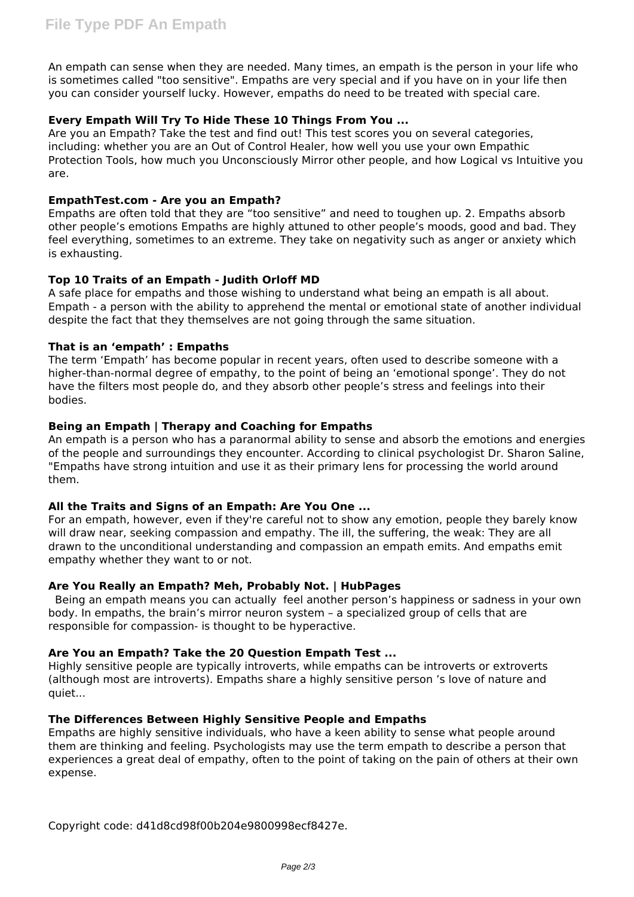An empath can sense when they are needed. Many times, an empath is the person in your life who is sometimes called "too sensitive". Empaths are very special and if you have on in your life then you can consider yourself lucky. However, empaths do need to be treated with special care.

# **Every Empath Will Try To Hide These 10 Things From You ...**

Are you an Empath? Take the test and find out! This test scores you on several categories, including: whether you are an Out of Control Healer, how well you use your own Empathic Protection Tools, how much you Unconsciously Mirror other people, and how Logical vs Intuitive you are.

# **EmpathTest.com - Are you an Empath?**

Empaths are often told that they are "too sensitive" and need to toughen up. 2. Empaths absorb other people's emotions Empaths are highly attuned to other people's moods, good and bad. They feel everything, sometimes to an extreme. They take on negativity such as anger or anxiety which is exhausting.

# **Top 10 Traits of an Empath - Judith Orloff MD**

A safe place for empaths and those wishing to understand what being an empath is all about. Empath - a person with the ability to apprehend the mental or emotional state of another individual despite the fact that they themselves are not going through the same situation.

# **That is an 'empath' : Empaths**

The term 'Empath' has become popular in recent years, often used to describe someone with a higher-than-normal degree of empathy, to the point of being an 'emotional sponge'. They do not have the filters most people do, and they absorb other people's stress and feelings into their bodies.

# **Being an Empath | Therapy and Coaching for Empaths**

An empath is a person who has a paranormal ability to sense and absorb the emotions and energies of the people and surroundings they encounter. According to clinical psychologist Dr. Sharon Saline, "Empaths have strong intuition and use it as their primary lens for processing the world around them.

# **All the Traits and Signs of an Empath: Are You One ...**

For an empath, however, even if they're careful not to show any emotion, people they barely know will draw near, seeking compassion and empathy. The ill, the suffering, the weak: They are all drawn to the unconditional understanding and compassion an empath emits. And empaths emit empathy whether they want to or not.

# **Are You Really an Empath? Meh, Probably Not. | HubPages**

 Being an empath means you can actually feel another person's happiness or sadness in your own body. In empaths, the brain's mirror neuron system – a specialized group of cells that are responsible for compassion- is thought to be hyperactive.

# **Are You an Empath? Take the 20 Question Empath Test ...**

Highly sensitive people are typically introverts, while empaths can be introverts or extroverts (although most are introverts). Empaths share a highly sensitive person 's love of nature and quiet...

# **The Differences Between Highly Sensitive People and Empaths**

Empaths are highly sensitive individuals, who have a keen ability to sense what people around them are thinking and feeling. Psychologists may use the term empath to describe a person that experiences a great deal of empathy, often to the point of taking on the pain of others at their own expense.

Copyright code: d41d8cd98f00b204e9800998ecf8427e.